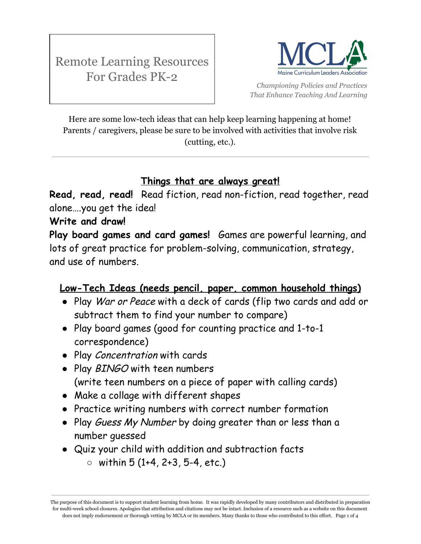

*Championing Policies and Practices That Enhance Teaching And Learning*

Here are some low-tech ideas that can help keep learning happening at home! Parents / caregivers, please be sure to be involved with activities that involve risk (cutting, etc.).

## **Things that are always great!**

**Read, read, read!** Read fiction, read non-fiction, read together, read alone….you get the idea!

## **Write and draw!**

**Play board games and card games!** Games are powerful learning, and lots of great practice for problem-solving, communication, strategy, and use of numbers.

## **Low-Tech Ideas (needs pencil, paper, common household things)**

- Play War or Peace with a deck of cards (flip two cards and add or subtract them to find your number to compare)
- Play board games (good for counting practice and 1-to-1 correspondence)
- Play Concentration with cards
- Play BINGO with teen numbers (write teen numbers on a piece of paper with calling cards)
- Make a collage with different shapes
- Practice writing numbers with correct number formation
- Play Guess My Number by doing greater than or less than a number guessed
- Quiz your child with addition and subtraction facts
	- $\circ$  within 5 (1+4, 2+3, 5-4, etc.)

The purpose of this document is to support student learning from home. It was rapidly developed by many contributors and distributed in preparation for multi-week school closures. Apologies that attribution and citations may not be intact. Inclusion of a resource such as a website on this document does not imply endorsement or thorough vetting by MCLA or its members. Many thanks to those who contributed to this effort. Page 1 of 4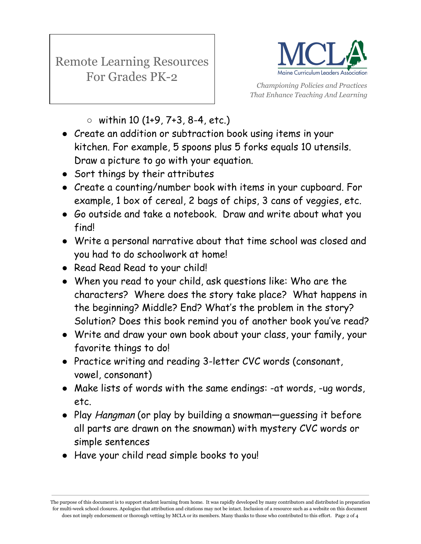

*Championing Policies and Practices That Enhance Teaching And Learning*

- $\circ$  within 10 (1+9, 7+3, 8-4, etc.)
- Create an addition or subtraction book using items in your kitchen. For example, 5 spoons plus 5 forks equals 10 utensils. Draw a picture to go with your equation.
- Sort things by their attributes
- Create a counting/number book with items in your cupboard. For example, 1 box of cereal, 2 bags of chips, 3 cans of veggies, etc.
- Go outside and take a notebook. Draw and write about what you find!
- Write a personal narrative about that time school was closed and you had to do schoolwork at home!
- Read Read Read to your child!
- When you read to your child, ask questions like: Who are the characters? Where does the story take place? What happens in the beginning? Middle? End? What's the problem in the story? Solution? Does this book remind you of another book you've read?
- Write and draw your own book about your class, your family, your favorite things to do!
- Practice writing and reading 3-letter CVC words (consonant, vowel, consonant)
- Make lists of words with the same endings: -at words, -ug words, etc.
- Play Hangman (or play by building a snowman—guessing it before all parts are drawn on the snowman) with mystery CVC words or simple sentences
- Have your child read simple books to you!

The purpose of this document is to support student learning from home. It was rapidly developed by many contributors and distributed in preparation for multi-week school closures. Apologies that attribution and citations may not be intact. Inclusion of a resource such as a website on this document does not imply endorsement or thorough vetting by MCLA or its members. Many thanks to those who contributed to this effort. Page 2 of 4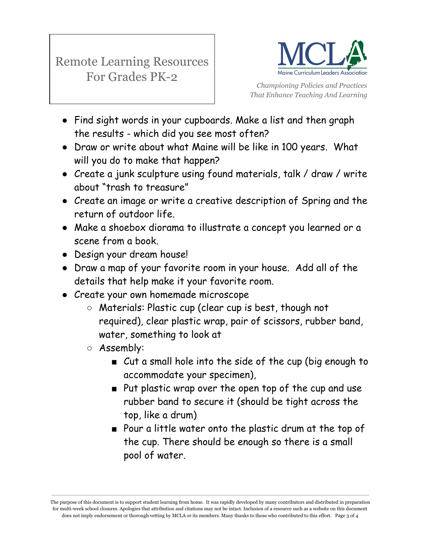

*Championing Policies and Practices That Enhance Teaching And Learning*

- Find sight words in your cupboards. Make a list and then graph the results - which did you see most often?
- Draw or write about what Maine will be like in 100 years. What will you do to make that happen?
- Create a junk sculpture using found materials, talk / draw / write about "trash to treasure"
- Create an image or write a creative description of Spring and the return of outdoor life.
- Make a shoebox diorama to illustrate a concept you learned or a scene from a book.
- Design your dream house!
- Draw a map of your favorite room in your house. Add all of the details that help make it your favorite room.
- Create your own homemade microscope
	- Materials: Plastic cup (clear cup is best, though not required), clear plastic wrap, pair of scissors, rubber band, water, something to look at
	- Assembly:
		- Cut a small hole into the side of the cup (big enough to accommodate your specimen),
		- Put plastic wrap over the open top of the cup and use rubber band to secure it (should be tight across the top, like a drum)
		- Pour a little water onto the plastic drum at the top of the cup. There should be enough so there is a small pool of water.

The purpose of this document is to support student learning from home. It was rapidly developed by many contributors and distributed in preparation for multi-week school closures. Apologies that attribution and citations may not be intact. Inclusion of a resource such as a website on this document does not imply endorsement or thorough vetting by MCLA or its members. Many thanks to those who contributed to this effort. Page 3 of 4